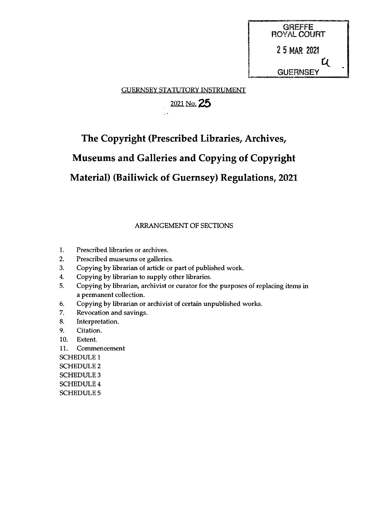

GUERNSEY STATUTORY INSTRUMENT

i<br>Ser

## $2021$  No. 25

## The Copyright (Prescribed Libraries, Archives,

# Museums and Galleries and Copying of Copyright

## Material) (Bailiwick of Guernsey) Regulations, 2021

#### ARRANGEMENT OF SECTIONS

- 1. Prescribed libraries or archives.
- 2. Prescribed museums or galleries.
- 3. Copying by librarian of article or part of published work.
- 4. Copying by librarian to supply other libraries.
- 5. Copying by librarian, archivist or curator for the purposes of replacing items in a permanent collection.
- 6. Copying by librarian or archivist of certain unpublished works.
- 7. Revocation and savings.
- 8. Interpretation.
- 9. Citation.
- 10. Extent.
- 11. Commencement

SCHEDULE <sup>1</sup> SCHEDULE 2 SCHEDULE 3 SCHEDULE 4 SCHEDULES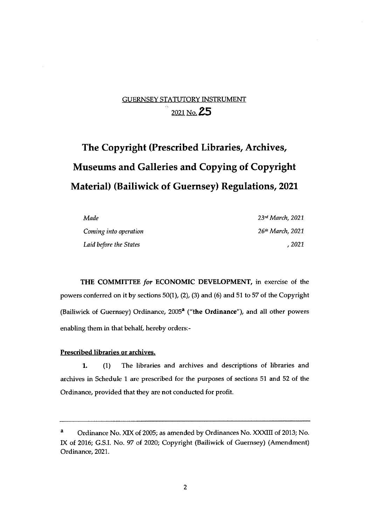## GUERNSEY STATUTORY INSTRUMENT  $^{\circ}$  2021 No. 25

# The Copyright (Prescribed Libraries, Archives, Museums and Galleries and Copying of Copyright Material) (Bailiwick of Guernsey) Regulations, 2021

| Made                   | $23$ rd March, 2021          |
|------------------------|------------------------------|
| Coming into operation  | 26 <sup>th</sup> March, 2021 |
| Laid before the States | . 2021                       |

THE COMMITTEE for ECONOMIC DEVELOPMENT, in exercise of the powers conferred on it by sections 50(1), (2), (3) and (6) and 51 to 57 of the Copyright (Bailiwick of Guernsey) Ordinance,  $2005<sup>a</sup>$  ("the Ordinance"), and all other powers enabling them in that behalf, hereby orders:

#### Prescribed libraries or archives.

1. (1) The libraries and archives and descriptions of libraries and archives in Schedule <sup>1</sup> are prescribed for the purposes of sections 51 and 52 of the Ordinance, provided that they are not conducted for profit.

Ordinance No. XIX of 2005; as amended by Ordinances No. XXXIII of 2013; No. IX of 2016; G.S.I. No. 97 of 2020; Copyright (Bailiwick of Guernsey) (Amendment) Ordinance, 2021.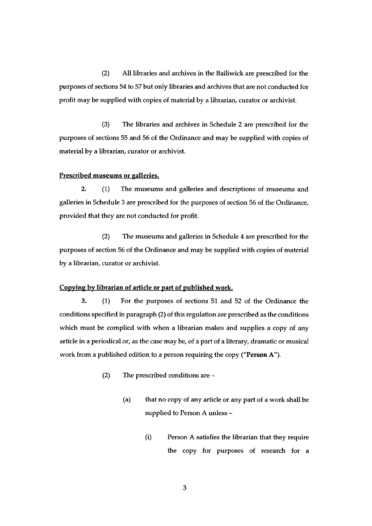(2) All libraries and archives in the Bailiwick are prescribed for the purposes of sections 54 to 57 but only libraries and archives that are not conducted for profit may be supplied with copies of material by a librarian, curator or archivist.

(3) The libraries and archives in Schedule 2 are prescribed for the purposes of sections 55 and 56 of the Ordinance and may be supplied with copies of material by a librarian, curator or archivist.

#### Prescribed museums or galleries.

2. (1) The museums and galleries and descriptions of museums and galleries in Schedule 3 are prescribed for the purposes of section 56 of the Ordinance, provided that they are not conducted for profit.

(2) The museums and galleries in Schedule 4 are prescribed for the purposes of section 56 of the Ordinance and may be supplied with copies of material by a librarian, curator or archivist.

#### Copying by librarian of article or part of published work.

3. (1) For the purposes of sections 51 and 52 of the Ordinance the conditions specified in paragraph (2) of this regulation are prescribed as the conditions which must be complied with when <sup>a</sup> librarian makes and supplies a copy of any article in a periodical or, as the case may be, of a part of a literary, dramatic or musical work from a published edition to a person requiring the copy ("Person A").

- (2) The prescribed conditions are
	- (a) that no copy of any article or any part of a work shall be supplied to Person A unless —
		- (i) Person A satisfies the librarian that they require the copy for purposes of research for a

3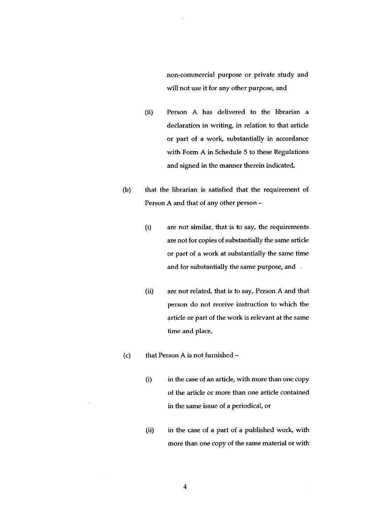non-commercial purpose or private study and will not use it for any other purpose, and

- (ii) Person A has delivered to the librarian a declaration in writing, in relation to that article or part of a work, substantially in accordance with Form A in Schedule 5 to these Regulations and signed in the manner therein indicated,
- (b) that the librarian is satisfied that the requirement of Person A and that of any other person —
	- (i) are not similar, that is to say, the requirements are not for copies of substantially the same article or part of a work at substantially the same time and for substantially the same purpose, and
	- (ii) are not related, that is to say, Person A and that person do not receive instruction to which the article or part of the work is relevant at the same time and place,
- (c) that Person A is not furnished
	- (i) in the case of an article, with more than one copy of the article or more than one article contained in the same issue of a periodical, or
	- (ii) in the case of a part of a published work, with more than one copy of the same material or with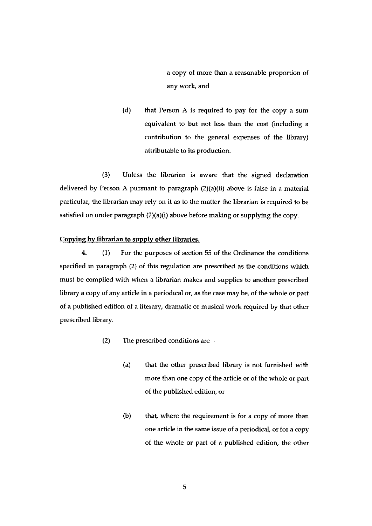a copy of more than a reasonable proportion of any work, and

(d) that Person A is required to pay for the copy a sum equivalent to but not less than the cost (including a contribution to the general expenses of the library) attributable to its production.

(3) Unless the librarian is aware that the signed declaration delivered by Person A pursuant to paragraph (2)(a)(ii) above is false in a material particular, the librarian may rely on it as to the matter the librarian is required to be satisfied on under paragraph (2)(a)(i) above before making or supplying the copy.

#### Copying by librarian to supply other libraries.

4. (1) For the purposes of section 55 of the Ordinance the conditions specified in paragraph (2) of this regulation are prescribed as the conditions which must be complied with when a librarian makes and supplies to another prescribed library a copy of any article in a periodical or, as the case may be, of the whole or part of a published edition of a literary, dramatic or musical work required by that other prescribed library.

- (2) The prescribed conditions are
	- (a) that the other prescribed library is not furnished with more than one copy of the article or of the whole or part of the published edition, or
	- $(b)$  that, where the requirement is for a copy of more than one article in the same issue of a periodical, or for a copy of the whole or part of a published edition, the other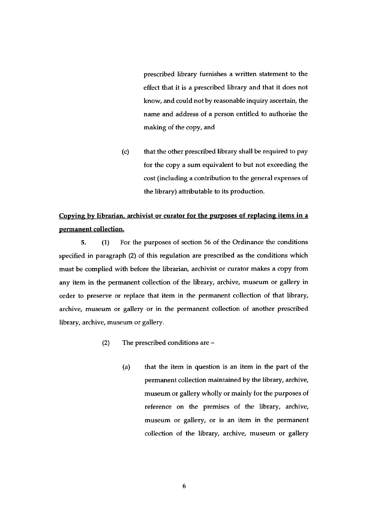prescribed library furnishes a written statement to the effect that it is a prescribed library and that it does not know, and could not by reasonable inquiry ascertain, the name and address of a person entitled to authorise the making of the copy, and

(c) that the other prescribed library shall be required to pay for the copy a sum equivalent to but not exceeding the cost (including a contribution to the general expenses of the library) attributable to its production.

## Copying by librarian, archivist or curator for the purposes of replacing items in a permanent collection.

5. (1) For the purposes of section 56 of the Ordinance the conditions specified in paragraph (2) of this regulation are prescribed as the conditions which must be complied with before the librarian, archivist or curator makes a copy from any item in the permanent collection of the library, archive, museum or gallery in order to preserve or replace that item in the permanent collection of that library, archive, museum or gallery or in the permanent collection of another prescribed library, archive, museum or gallery.

- (2) The prescribed conditions are
	- (a) that the item in question is an item in the part of the permanent collection maintained by the library, archive, museum or gallery wholly or mainly for the purposes of reference on the premises of the library, archive, museum or gallery, or is an item in the permanent collection of the library, archive, museum or gallery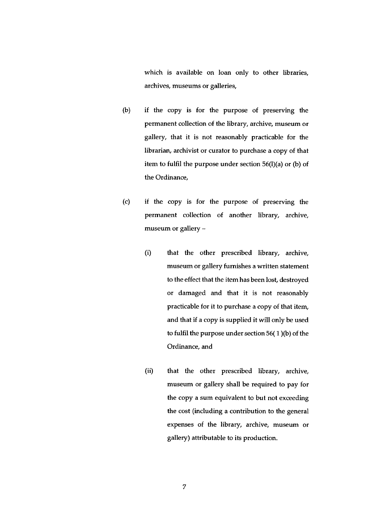which is available on loan only to other libraries, archives, museums or galleries,

- (b) if the copy is for the purpose of preserving the permanent collection of the library, archive, museum or gallery, that it is not reasonably practicable for the librarian, archivist or curator to purchase a copy of that item to fulfil the purpose under section 56(l)(a) or (b) of the Ordinance,
- (c) if the copy is for the purpose of preserving the permanent collection of another library, archive, museum or gallery —
	- (i) that the other prescribed library, archive, museum or gallery furnishes a written statement to the effect that the item has been lost, destroyed or damaged and that it is not reasonably practicable for it to purchase a copy of that item, and that if a copy is supplied it will only be used to fulfil the purpose under section 56( <sup>1</sup> )(b) of the Ordinance, and
	- (ii) that the other prescribed library, archive, museum or gallery shall be required to pay for the copy a sum equivalent to but not exceeding the cost (including a contribution to the general expenses of the library, archive, museum or gallery) attributable to its production.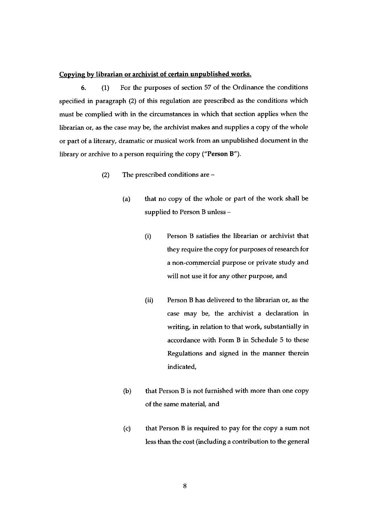#### Copying by librarian or archivist of certain unpublished works.

6. (1) For the purposes of section 57 of the Ordinance the conditions specified in paragraph (2) of this regulation are prescribed as the conditions which must be complied with in the circumstances in which that section applies when the librarian or, as the case may be, the archivist makes and supplies a copy of the whole or part of a literary, dramatic or musical work from an unpublished document in the library or archive to a person requiring the copy ("Person B").

- (2) The prescribed conditions are
	- (a) that no copy of the whole or part of the work shall be supplied to Person <sup>B</sup> unless —
		- (i) Person B satisfies the librarian or archivist that they require the copy for purposes of research for a non-commercial purpose or private study and will not use it for any other purpose, and
		- (ii) Person B has delivered to the librarian or, as the case may be, the archivist a declaration in writing, in relation to that work, substantially in accordance with Form B in Schedule 5 to these Regulations and signed in the manner therein indicated,
	- (b) that Person <sup>B</sup> is not furnished with more than one copy of the same material, and
	- (c) that Person <sup>B</sup> is required to pay for the copy a sum not less than the cost (including a contribution to the general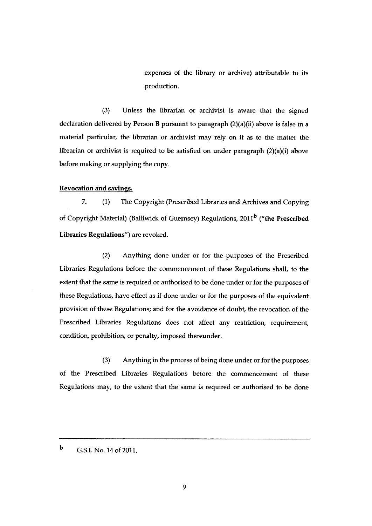expenses of the Library or archive) attributable to its production.

(3) Unless the librarian or archivist is aware that the signed declaration delivered by Person <sup>B</sup> pursuant to paragraph (2)(a)(ii) above is false in a material particular, the librarian or archivist may rely on it as to the matter the librarian or archivist is required to be satisfied on under paragraph (2)(a)(i) above before making or supplying the copy.

#### Revocation and savings.

7. (1) The Copyright (Prescribed Libraries and Archives and Copying of Copyright Material) (Bailiwick of Guernsey) Regulations, 2011<sup>b</sup> ("the Prescribed Libraries Regulations") are revoked.

(2) Anything done under or for the purposes of the Prescribed Libraries Regulations before the commencement of these Regulations shall, to the extent that the same is required or authorised to be done under or for the purposes of these Regulations, have effect as if done under or for the purposes of the equivalent provision of these Regulations; and for the avoidance of doubt, the revocation of the Prescribed Libraries Regulations does not affect any restriction, requirement, condition, prohibition, or penalty, imposed thereunder.

(3) Anything in the process of being done under or for the purposes of the Prescribed Libraries Regulations before the commencement of these Regulations may, to the extent that the same is required or authorised to be done

<sup>b</sup> G.S.I. No. 14 of 2011.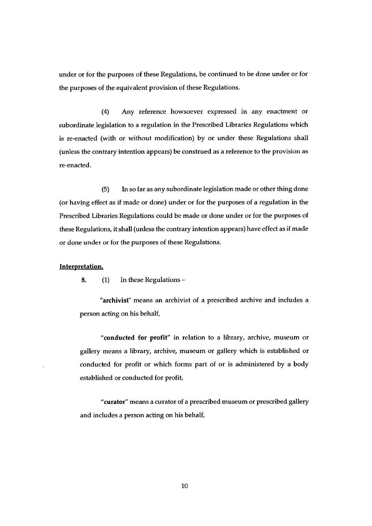under or for the purposes of these Regulations, be continued to be done under or for the purposes of the equivalent provision of these Regulations.

(4) Any reference howsoever expressed in any enactment or subordinate legislation to a regulation in the Prescribed Libraries Regulations which is re-enacted (with or without modification) by or under these Regulations shall (unless the contrary intention appears) be construed as a reference to the provision as re-enacted.

(5) In so far as any subordinate legislation made or other thing done (or having effect as if made or done) under or for the purposes of a regulation in the Prescribed Libraries Regulations could be made or done under or for the purposes of these Regulations, it shall (unless the contrary intention appears) have effect as if made or done under or for the purposes of these Regulations.

#### Interpretation.

8. (1) In these Regulations —

'archivist" means an archivist of a prescribed archive and includes a person acting on his behalf,

"conducted for profit" in relation to a library, archive, museum or gallery means a library, archive, museum or gallery which is established or conducted for profit or which forms part of or is administered by a body established or conducted for profit,

"curator" means a curator of a prescribed museum or prescribed gallery and includes a person acting on his behalf,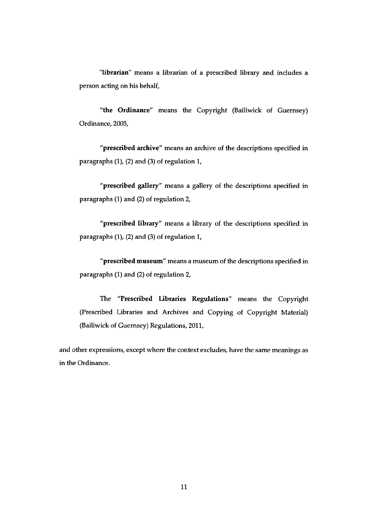"librarian" means a librarian of a prescribed library and includes a person acting on his behalf,

"the Ordinance" means the Copyright (Bailiwick of Guernsey) Ordinance, 2005,

"prescribed archive" means an archive of the descriptions specified in paragraphs (1), (2) and (3) of regulation 1,

"prescribed gallery" means a gallery of the descriptions specified in paragraphs (1) and (2) of regulation 2,

"prescribed library" means a library of the descriptions specified in paragraphs (1), (2) and (3) of regulation 1,

"prescribed museum" means a museum of the descriptions specified in paragraphs (1) and (2) of regulation 2,

The "Prescribed Libraries Regulations" means the Copyright (Prescribed Libraries and Archives and Copying of Copyright Material) (Bailiwick of Guernsey) Regulations, 2011,

and other expressions, except where the context excludes, have the same meanings as in the Ordinance.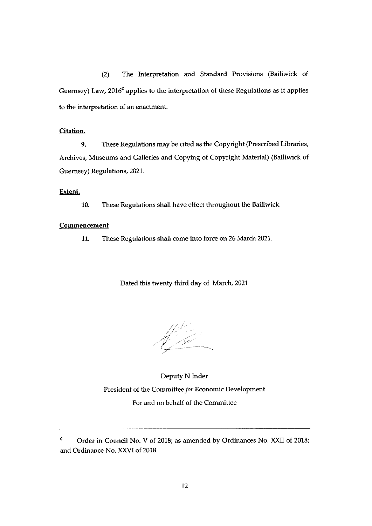(2) The Interpretation and Standard Provisions (Bailiwick of Guernsey) Law,  $2016<sup>c</sup>$  applies to the interpretation of these Regulations as it applies to the interpretation of an enactment.

#### Citation.

9. These Regulations may be cited as the Copyright (Prescribed Libraries, Archives, Museums and Galleries and Copying of Copyright Material) (Bailiwick of Guernsey) Regulations, 2021.

Extent.

10. These Regulations shall have effect throughout the Bailiwick.

#### **Commencement**

11. These Regulations shall come into force on 26 March 2021.

Dated this twenty third day of March, 2021

 $\mathscr{C}$ 

Deputy N Inder President of the Committee for Economic Development For and on behalf of the Committee

<sup>&</sup>lt;sup>c</sup> Order in Council No. V of 2018; as amended by Ordinances No. XXII of 2018; and Ordinance No. XXVI of 2018.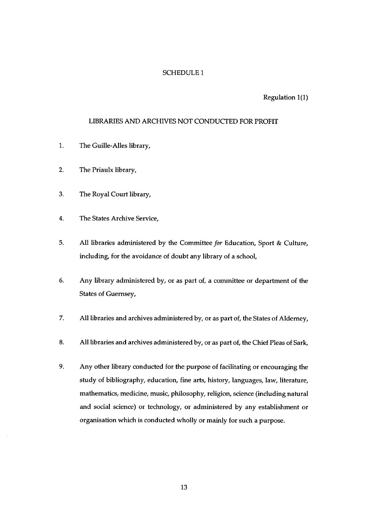#### SCHEDULE I

#### Regulation 1(1)

#### LIBRARIES AND ARCHIVES NOT CONDUCTED FOR PROFIT

- 1. The Guille-Alles library,
- 2, The Priaulx library,
- 3. The Royal Court library,
- 4. The States Archive Service,
- 5. All libraries administered by the Committee for Education, Sport & Culture, including, for the avoidance of doubt any library of a school,
- 6. Any library administered by, or as part of, a committee or department of the States of Guernsey,
- 7. All libraries and archives administered by, or as part of, the States of Alderney,
- 8. All libraries and archives administered by, or as part of, the Chief Pleas of Sark,
- 9. Any other library conducted for the purpose of facilitating or encouraging the study of bibliography, education, fine arts, history, languages, law, literature, mathematics, medicine, music, philosophy, religion, science (including natural and social science) or technology, or administered by any establishment or organisation which is conducted wholly or mainly for such a purpose.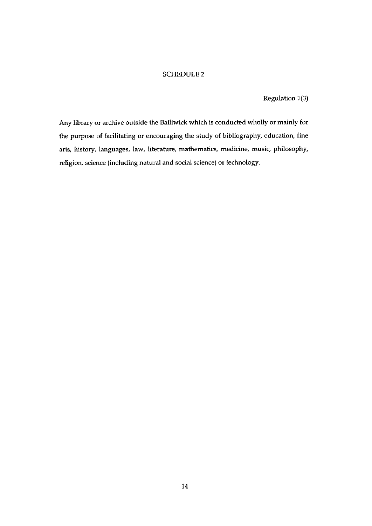Regulation 1(3)

Any library or archive outside the Bailiwick which is conducted wholly or mainly for the purpose of facilitating or encouraging the study of bibliography, education, fine arts, history, languages, law, literature, mathematics, medicine, music, philosophy, religion, science (including natural and social science) or technology.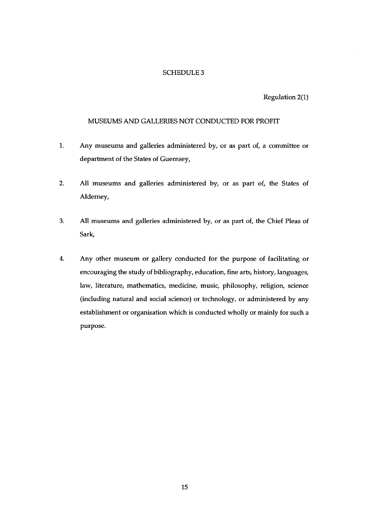Regulation  $2(1)$ 

#### MUSEUMS AND GALLERIES NOT CONDUCTED FOR PROFIT

- 1. Any museums and galleries administered by, or as part of, a committee or department of the States of Guernsey,
- 2. All museums and galleries administered by, or as part of, the States of Alderney,
- 3. All museums and galleries administered by, or as part of, the Chief Pleas of Sark,
- 4. Any other museum or gallery conducted for the purpose of facilitating or encouraging the study of bibliography, education, fine arts, history, languages, law, literature, mathematics, medicine, music, philosophy, religion, science (including natural and social science) or technology, or administered by any establishment or organisation which is conducted wholly or mainly for such a purpose.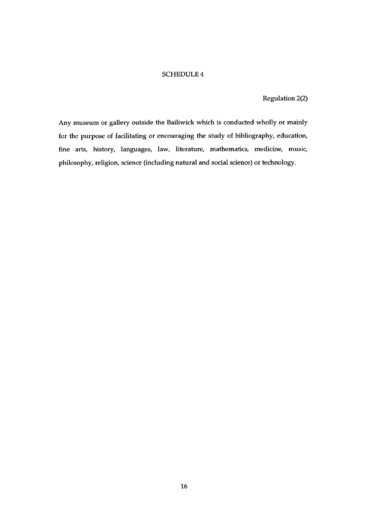Regulation 2(2)

Any museum or gallery outside the Bailiwick which is conducted wholly or mainly for the purpose of facilitating or encouraging the study of bibliography, education, fine arts, history, languages, law, literature, mathematics, medicine, music, philosophy, religion, science (including natural and social science) or technology.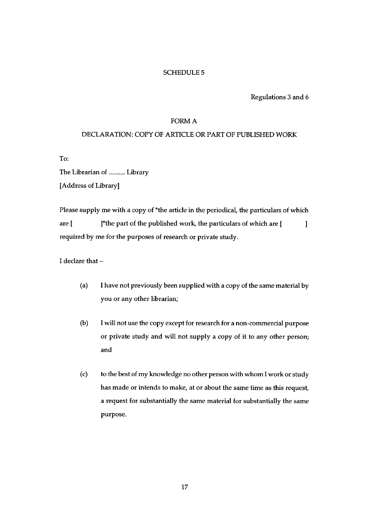Regulations 3 and 6

#### FORM A

#### DECLARATION: COPY OF ARTICLE OR PART OF PUBLISHED WORK

To:

The Librarian of .......... Library IAddress of Library]

Please supply me with a copy of \*the article in the periodical, the particulars of which are  $[$  1\*the part of the published work, the particulars of which are  $[$  $\mathbf{I}$ required by me for the purposes of research or private study.

I declare that —

- (a) <sup>I</sup> have not previously been supplied with a copy of the same material by you or any other librarian;
- (b) <sup>I</sup> will not use the copy except for research for a non-commercial purpose or private study and will not supply a copy of it to any other person; and
- (c) to the best of my knowledge no other person with whom <sup>I</sup> work or study has made or intends to make, at or about the same time as this request, a request for substantially the same material for substantially the same purpose.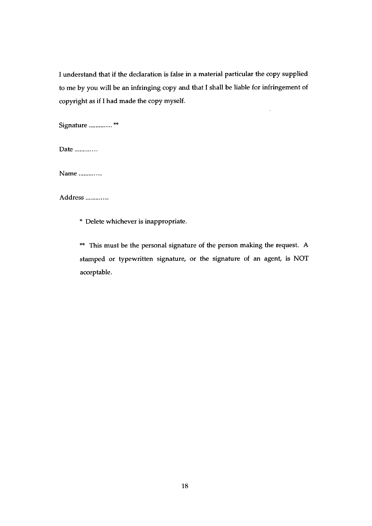<sup>I</sup> understand that if the declaration is false in a material particular the copy supplied to me by you will be an infringing copy and that <sup>I</sup> shall be liable for infringement of copyright as if I had made the copy myself.

Signature ............. \*\*

Date .............

Name

Address

\* Delete whichever is inappropriate.

\*\* This must be the personal signature of the person making the request. A stamped or typewritten signature, or the signature of an agent, is NOT acceptable.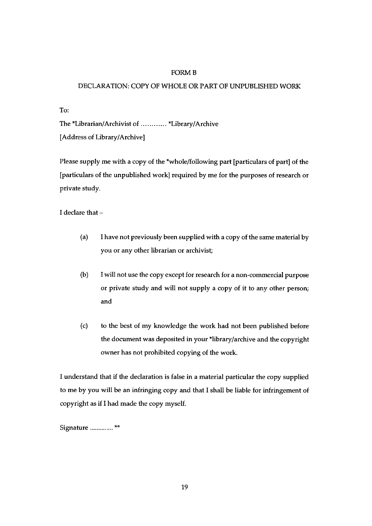#### FORM B

#### DECLARATION: COPY OF WHOLE OR PART OF UNPUBLISHED WORK

To:

The \*Librarian/Archivist of ............ \*Library/Archive [Address of Library/Archive]

Please supply me with a copy of the \*whole/following part [particulars of part] of the [particulars of the unpublished work] required by me for the purposes of research or private study.

I declare that —

- (a) <sup>I</sup> have not previously been supplied with a copy of the same material by you or any other librarian or archivist;
- (b) <sup>I</sup> will not use the copy except for research for a non-commercial purpose or private study and will not supply a copy of it to any other person; and
- (c) to the best of my knowledge the work had not been published before the document was deposited in your \*library/archive and the copyright owner has not prohibited copying of the work.

<sup>I</sup> understand that if the declaration is false in a material particular the copy supplied to me by you will be an infringing copy and that <sup>I</sup> shall be liable for infringement of copyright as if I had made the copy myself.

Signature .............<sup>\*\*</sup>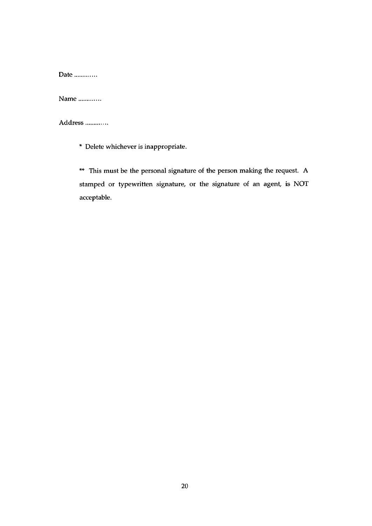Date .............

Name

Address .............

\* Delete whichever is inappropriate.

\*\* This must be the personal signature of the person making the request. A stamped or typewritten signature, or the signature of an agent, is NOT acceptable.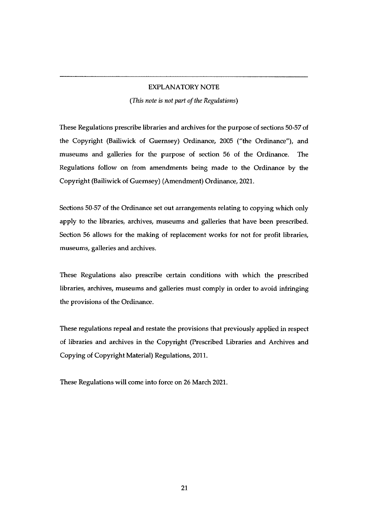#### EXPLANATORY NOTE

(This note is not part of the Regulations)

These Regulations prescribe libraries and archives for the purpose of sections 50-57 of the Copyright (Bailiwick of Guernsey) Ordinance, 2005 ("the Ordinance"), and museums and galleries for the purpose of section 56 of the Ordinance. The Regulations follow on from amendments being made to the Ordinance by the Copyright (Bailiwick of Guernsey) (Amendment) Ordinance, 2021.

Sections 50-57 of the Ordinance set out arrangements relating to copying which only apply to the libraries, archives, museums and galleries that have been prescribed. Section 56 allows for the making of replacement works for not for profit libraries, museums, galleries and archives.

These Regulations also prescribe certain conditions with which the prescribed libraries, archives, museums and galleries must comply in order to avoid infringing the provisions of the Ordinance.

These regulations repeal and restate the provisions that previously applied in respect of libraries and archives in the Copyright (Prescribed Libraries and Archives and Copying of Copyright Material) Regulations, 2011.

These Regulations will come into force on 26 March 2021.